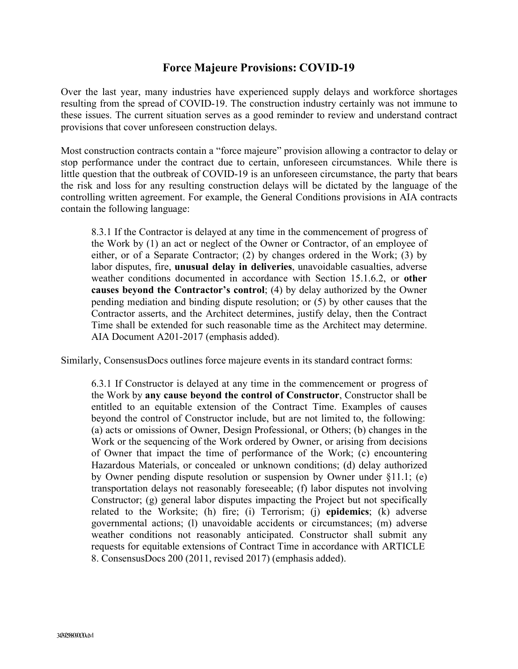## **Force Majeure Provisions: COVID-19**

Over the last year, many industries have experienced supply delays and workforce shortages resulting from the spread of COVID-19. The construction industry certainly was not immune to these issues. The current situation serves as a good reminder to review and understand contract provisions that cover unforeseen construction delays.

Most construction contracts contain a "force majeure" provision allowing a contractor to delay or stop performance under the contract due to certain, unforeseen circumstances. While there is little question that the outbreak of COVID-19 is an unforeseen circumstance, the party that bears the risk and loss for any resulting construction delays will be dictated by the language of the controlling written agreement. For example, the General Conditions provisions in AIA contracts contain the following language:

8.3.1 If the Contractor is delayed at any time in the commencement of progress of the Work by (1) an act or neglect of the Owner or Contractor, of an employee of either, or of a Separate Contractor; (2) by changes ordered in the Work; (3) by labor disputes, fire, **unusual delay in deliveries**, unavoidable casualties, adverse weather conditions documented in accordance with Section 15.1.6.2, or **other causes beyond the Contractor's control**; (4) by delay authorized by the Owner pending mediation and binding dispute resolution; or (5) by other causes that the Contractor asserts, and the Architect determines, justify delay, then the Contract Time shall be extended for such reasonable time as the Architect may determine. AIA Document A201-2017 (emphasis added).

Similarly, ConsensusDocs outlines force majeure events in its standard contract forms:

6.3.1 If Constructor is delayed at any time in the commencement or progress of the Work by **any cause beyond the control of Constructor**, Constructor shall be entitled to an equitable extension of the Contract Time. Examples of causes beyond the control of Constructor include, but are not limited to, the following: (a) acts or omissions of Owner, Design Professional, or Others; (b) changes in the Work or the sequencing of the Work ordered by Owner, or arising from decisions of Owner that impact the time of performance of the Work; (c) encountering Hazardous Materials, or concealed or unknown conditions; (d) delay authorized by Owner pending dispute resolution or suspension by Owner under §11.1; (e) transportation delays not reasonably foreseeable; (f) labor disputes not involving Constructor; (g) general labor disputes impacting the Project but not specifically related to the Worksite; (h) fire; (i) Terrorism; (j) **epidemics**; (k) adverse governmental actions; (l) unavoidable accidents or circumstances; (m) adverse weather conditions not reasonably anticipated. Constructor shall submit any requests for equitable extensions of Contract Time in accordance with ARTICLE 8. ConsensusDocs 200 (2011, revised 2017) (emphasis added).